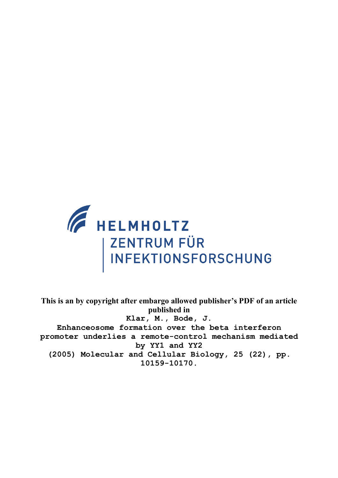

**This is an by copyright after embargo allowed publisher's PDF of an article published in Klar, M., Bode, J. Enhanceosome formation over the beta interferon promoter underlies a remote-control mechanism mediated by YY1 and YY2 (2005) Molecular and Cellular Biology, 25 (22), pp. 10159-10170.**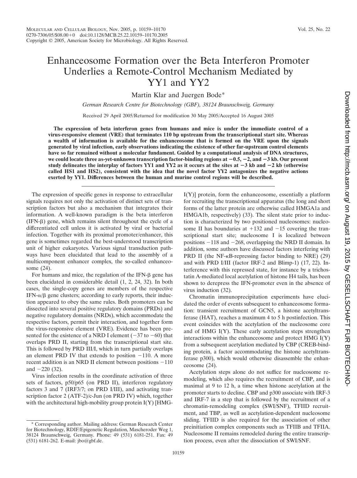# Enhanceosome Formation over the Beta Interferon Promoter Underlies a Remote-Control Mechanism Mediated by YY1 and YY2

Martin Klar and Juergen Bode\*

*German Research Centre for Biotechnology (GBF), 38124 Braunschweig, Germany*

Received 29 April 2005/Returned for modification 30 May 2005/Accepted 16 August 2005

**The expression of beta interferon genes from humans and mice is under the immediate control of a virus-responsive element (VRE) that terminates 110 bp upstream from the transcriptional start site. Whereas a wealth of information is available for the enhanceosome that is formed on the VRE upon the signals generated by viral infection, early observations indicating the existence of other far-upstream control elements have so far remained without a molecular fundament. Guided by a computational analysis of DNA structures,** we could locate three as-yet-unknown transcription factor-binding regions at  $-0.5$ ,  $-2$ , and  $-3$  kb. Our present **study delineates the interplay of factors YY1 and YY2 as it occurs at the sites at**  $-3$  **kb and**  $-2$  **kb (otherwise called HS1 and HS2), consistent with the idea that the novel factor YY2 antagonizes the negative actions exerted by YY1. Differences between the human and murine control regions will be described.**

The expression of specific genes in response to extracellular signals requires not only the activation of distinct sets of transcription factors but also a mechanism that integrates their information. A well-known paradigm is the beta interferon  $(IFN- $\beta$ ) gene, which remains silent throughout the cycle of a$ differentiated cell unless it is activated by viral or bacterial infection. Together with its proximal promoter/enhancer, this gene is sometimes regarded the best-understood transcription unit of higher eukaryotes. Various signal transduction pathways have been elucidated that lead to the assembly of a multicomponent enhancer complex, the so-called enhanceosome (24).

For humans and mice, the regulation of the IFN- $\beta$  gene has been elucidated in considerable detail (1, 2, 24, 32). In both cases, the single-copy genes are members of the respective  $IFN-\alpha/\beta$  gene clusters; according to early reports, their induction appeared to obey the same rules. Both promoters can be dissected into several positive regulatory domains (PRDs) and negative regulatory domains (NRDs), which accommodate the respective factors, permit their interaction, and together form the virus-responsive element (VRE). Evidence has been presented for the existence of a NRD I element  $(-37 \text{ to } -60)$  that overlaps PRD II, starting from the transcriptional start site. This is followed by PRD III/I, which in turn partially overlaps an element PRD IV that extends to position  $-110$ . A more recent addition is an NRD II element between positions  $-110$ and  $-220$  (32).

Virus infection results in the coordinate activation of three sets of factors, p50/p65 (on PRD II), interferon regulatory factors 3 and 7 (IRF3/7; on PRD I/III), and activating transcription factor 2 (ATF-2)/c-Jun (on PRD IV) which, together with the architectural high-mobility group protein  $I(Y)$  [HMG-

I(Y)] protein, form the enhanceosome, essentially a platform for recruiting the transcriptional apparatus (the long and short forms of the latter protein are otherwise called HMGA1a and HMGA1b, respectively) (33). The silent state prior to induction is characterized by two positioned nucleosomes: nucleosome II has boundaries at  $+132$  and  $-15$  covering the transcriptional start site; nucleosome I is localized between positions  $-118$  and  $-268$ , overlapping the NRD II domain. In addition, some authors have discussed factors interfering with PRD II (the NF- $\kappa$ B-repressing factor binding to NRE) (29) and with PRD I/III (factor IRF-2 and Blimp-1) (17, 22). Interference with this repressed state, for instance by a trichostatin A-mediated local acetylation of histone H4 tails, has been shown to derepress the IFN-promoter even in the absence of virus induction (32).

Chromatin immunoprecipitation experiments have elucidated the order of events subsequent to enhanceosome formation: transient recruitment of GCN5, a histone acetyltransferase (HAT), reaches a maximum 4 to 5 h postinfection. This event coincides with the acetylation of the nucleosome core and of HMG I(Y). These early acetylation steps strengthen interactions within the enhanceosome and protect HMG I(Y) from a subsequent acetylation mediated by CBP (CREB-binding protein, a factor accommodating the histone acetyltransferase p300), which would otherwise disassemble the enhanceosome (24).

Acetylation steps alone do not suffice for nucleosome remodeling, which also requires the recruitment of CBP, and is maximal at 9 to 12 h, a time when histone acetylation at the promoter starts to decline. CBP and p300 associate with IRF-3 and IRF-7 in a step that is followed by the recruitment of a chromatin-remodeling complex (SWI/SNF), TFIID recruitment, and TBP, as well as acetylation-dependent nucleosome sliding. TFIID is also required for the association of other preinitiation complex components such as TFIIB and TFIIA. Nucleosome II remains remodeled during the entire transcription process, even after the dissociation of SWI/SNF.

<sup>\*</sup> Corresponding author. Mailing address: German Research Center for Biotechnology, RDIF/Epigenetic Regulation, Mascheroder Weg 1, 38124 Braunschweig, Germany. Phone: 49 (531) 6181-251. Fax: 49 (531) 6181-262. E-mail: jbo@gbf.de.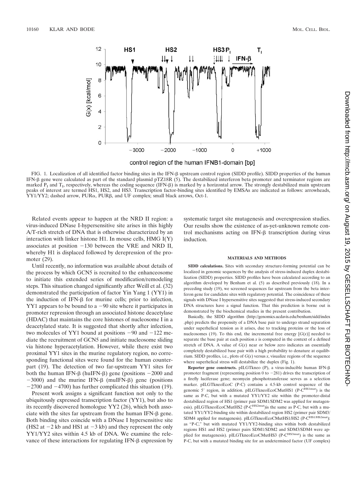

FIG. 1. Localization of all identified factor binding sites in the IFN- $\beta$  upstream control region (SIDD profile). SIDD properties of the human IFN-<sub>B</sub> gene were calculated as part of the standard plasmid pTZ18R (5). The destabilized interferon beta promoter and terminator regions are marked  $P_I$  and  $T_I$ , respectively, whereas the coding sequence (IFN- $\beta$ ) is marked by a horizontal arrow. The strongly destabilized main upstream peaks of interest are termed HS1, HS2, and HS3. Transcription factor-binding sites identified by EMSAs are indicated as follows: arrowheads, YY1/YY2; dashed arrow, PUR $\alpha$ , PUR $\beta$ , and UF complex; small black arrows, Oct-1.

Related events appear to happen at the NRD II region: a virus-induced DNase I-hypersensitive site arises in this highly A/T-rich stretch of DNA that is otherwise characterized by an interaction with linker histone H1. In mouse cells, HMG I(Y) associates at position  $-130$  between the VRE and NRD II, whereby H1 is displaced followed by derepression of the promoter (29).

Until recently, no information was available about details of the process by which GCN5 is recruited to the enhanceosome to initiate this extended series of modification/remodeling steps. This situation changed significantly after Weill et al. (32) demonstrated the participation of factor Yin Yang 1 (YY1) in the induction of IFN- $\beta$  for murine cells; prior to infection,  $YY1$  appears to be bound to a  $-90$  site where it participates in promoter repression through an associated histone deacetylase (HDAC) that maintains the core histones of nucleosome I in a deacetylated state. It is suggested that shortly after infection, two molecules of YY1 bound at positions  $-90$  and  $-122$  mediate the recruitment of GCN5 and initiate nucleosome sliding via histone hyperacetylation. However, while there exist two proximal YY1 sites in the murine regulatory region, no corresponding functional sites were found for the human counterpart (19). The detection of two far-upstream YY1 sites for both the human IFN- $\beta$  (huIFN- $\beta$ ) gene (positions  $-2000$  and  $-3000$ ) and the murine IFN- $\beta$  (muIFN- $\beta$ ) gene (positions  $-2700$  and  $-4700$ ) has further complicated this situation (19).

Present work assigns a significant function not only to the ubiquitously expressed transcription factor (YY1), but also to its recently discovered homologue YY2 (26), which both associate with the sites far upstream from the human IFN- $\beta$  gene. Both binding sites coincide with a DNase I hypersensitive site (HS2 at  $-2$  kb and HS1 at  $-3$  kb) and they represent the only YY1/YY2 sites within 4.5 kb of DNA. We examine the relevance of these interactions for regulating IFN- $\beta$  expression by systematic target site mutagenesis and overexpression studies. Our results show the existence of as-yet-unknown remote control mechanisms acting on IFN- $\beta$  transcription during virus induction.

#### **MATERIALS AND METHODS**

**SIDD calculations.** Sites with secondary structure-forming potential can be localized in genomic sequences by the analysis of stress-induced duplex destabilization (SIDD) properties. SIDD profiles have been calculated according to an algorithm developed by Benham et al. (5) as described previously (18). In a preceding study (19), we screened sequences far upstream from the beta interferon gene for candidate sites with regulatory potential. The coincidence of these signals with DNase I hypersensitive sites suggested that stress-induced secondary DNA structures have a signal function. That this prediction is borne out is demonstrated by the biochemical studies in the present contribution.

Basically, the SIDD algorithm (http://genomics.ucdavis.edu/benham/sidd/index .php) predicts the propensity of a DNA base pair to undergo strand separation under superhelical tension as it arises, due to tracking proteins or the loss of nucleosomes (19). To this end, the incremental free energy  $[G(x)]$  needed to separate the base pair at each position  $x$  is computed in the context of a defined stretch of DNA. A value of  $G(x)$  near or below zero indicates an essentially completely destabilized base pair with a high probability to denature at equilibrium. SIDD profiles, i.e., plots of  $G(x)$  versus *x*, visualize regions of the sequence where superhelical stress will destabilize the duplex (Fig. 1).

**Reporter gene constructs.** pILGTkneo (P), a virus-inducible human IFN-β promoter fragment (representing position  $0$  to  $-281$ ) drives the transcription of a firefly luciferase gene; neomycin phosphotransferase serves as a selection marker. pILGTkneoEcoC (P-C) contains a 4.5-kb control sequence of the genomic 5' region, in addition. pILGTkneoEcoCMutHS1 (P-CHS1mut) is the same as P-C, but with a mutated YY1/YY2 site within the promoter-distal destabilized region of HS1 (primer pair SDM1/SDM2 was applied for mutagenesis). pILGTkneoEcoCMutHS2 (P-C<sup>HS2mut</sup>)is the same as P-C, but with a mutated YY1/YY2-binding site within destabilized region HS2 (primer pair SDM3/ SDM4 applied for mutagenesis). pILGTkneoEcoCMutHS1/HS2 (P-CHS1/HS2mut): as "P-C," but with mutated YY1/YY2-binding sites within both destabilized regions HS1 and HS2 (primer pairs SDM1/SDM2 and SDM3/SDM4 were applied for mutagenesis). pILGTkneoEcoCMutHS3 (P-C<sup>HS3mut</sup>) is the same as P-C, but with a mutated binding site for an undetermined factor (UF complex)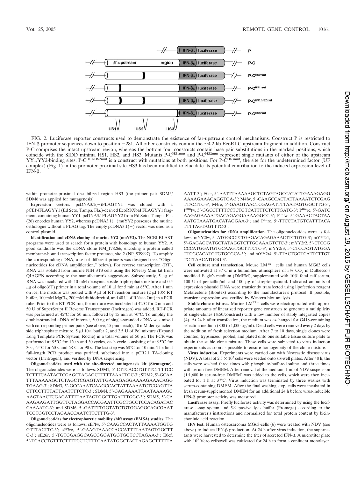

FIG. 2. Luciferase reporter constructs used to demonstrate the existence of far-upstream control mechanisms. Construct P is restricted to IFN- $\beta$  promoter sequences down to position  $-281$ . All other constructs contain the  $\sim$ 4.2-kb EcoRI-C upstream fragment in addition. Construct P-C comprises the intact upstream region, whereas the bottom four constructs contain base pair substitutions in the marked positions, which coincide with the SIDD minima HS1, HS2, and HS3. Mutants P-C<sup>HS1mut</sup> and P-C<sup>HS2mut</sup> represent single mutants of either of the upstream YY1/YY2-binding sites. P-C<sup>HS1/HS2mut</sup> is a construct with mutations at both positions. For P-C<sup>HS3mut</sup>, the site for the undetermined factor (UF complex) (Fig. 1) in the promoter-proximal site HS3 has been modified to elucidate its potential contribution to the induced expression level of IFN-β.

within promoter-proximal destabilized region HS3 (the primer pair SDM5/ SDM6 was applied for mutagenesis).

**Expression vectors.** pcDNA3.1(-)FLAGYY1 was cloned with a pCEP4FLAGYY1 (Ed Seto, Tampa, Fla.)-derived EcoRI/XbaI FLAGYY1 fragment, containing human YY1. pcDNA3.1FLAGYY2 from Ed Seto, Tampa, Fla. (26) encodes human YY2, whereas  $pcDNA3.1(-)muYY2$  possesses the murine orthologue without a FLAG tag. The empty  $pCDNA3.1(-)$  vector was used as a control plasmid.

**Identification and cDNA cloning of murine YY2 (muYY2).** The NCBI BLAST programs were used to search for a protein with homology to human YY2. A good candidate was the cDNA clone NM\_178266, encoding a protein called membrane-bound transcription factor protease, site 2 (NP\_839997). To amplify the corresponding cDNA, a set of different primers was designed (see "Oligonucleotides for cDNA amplification," below). For reverse transcription (RT), RNA was isolated from murine NIH 3T3 cells using the RNeasy Mini kit from QIAGEN according to the manufacturer's suggestions. Subsequently,  $5 \mu g$  of RNA was incubated with 10 mM deoxynucleoside triphosphate mixture and 0.5  $\mu$ g of oligo(dT) primer in a total volume of 10  $\mu$ l for 5 min at 65°C. After 1 min on ice, the mixture was pooled with 9  $\mu$ l of RT reaction mixture (2  $\mu$ l 10 × RT buffer, 100 mM MgCl<sub>2</sub>, 200 mM dithiothreitol, and 40 U of RNase Out) in a PCR tube. Prior to the RT-PCR run, the mixture was incubated at 42°C for 2 min and 50 U of SuperScript II Reverse Transcriptase (Invitrogen) was added. RT-PCR was performed at 42°C for 50 min, followed by 15 min at 70°C. To amplify the double-stranded cDNA of interest, 500 ng of single-stranded cDNA was mixed with corresponding primer pairs (see above; 15 pmol each), 10 mM deoxynucleoside triphosphate mixture, 5  $\mu$ l 10× buffer 2, and 2.5 U of Pol mixture (Expand Long Template PCR System; Roche) in a total volume of 50  $\mu$ l. The PCR was performed at 95°C for 120 s and 30 cycles, each cycle consisting of at 95°C for 30 s, 65°C for 60 s, and 68°C for 90 s. The last step was 68°C for 10 min. The final full-length PCR product was purified, subcloned into a pCR2.1 TA-cloning vector (Invitrogen), and verified by DNA sequencing.

**Oligonucleotides used with the site-directed mutagenesis kit (Stratagene).** The oligonucleotides were as follows: SDM1, 5'-CTTCACCTGTTTCTTTTCC TCTTTCAATACTCGAGCTAGAGCTTTTTAAATTGC-3': SDM2, 5'-GCAA TTTAAAAAGCTCTAGCTCGAGTATTGAAAGAGGAAAAGAAACAGG TGAAG-3; SDM3, 5-GCCAAATCAAGCCACTATTAAAATCTCGAGTTA CTTCCTTTTATTAATTTTCTC-3; SDM4, 5-GAGAAAATTAATAAAAGG AAGTAACTCGAGATTTTAATAGTGGCTTGATTTGGC-3; SDM5, 5-CA AAGAAGATTGGTTCTAGGACCACGAATTCGCTGCCTCCACAGATAC CAAAATC-3'; and SDM6, 5'-GATTTTGGTATCTGTGGAGGCAGCGAAT TCGTGGTCCTAGAACCAATCTTCTTTG-3'.

**Oligonucleotides for electrophoretic mobility shift assay (EMSA) studies.** The oligonucleotides were as follows: sE7fw, 5-CAAGCCACTATTAAAATGGTG GTTTACTTC-3; sE7re, 5-GAAGTAAACCACCATTTTAATAGTGGCTT G-3'; sE26r, 5'-TGTGGAGGCAGCGGGATGGTGGTCCTAGAA-3'; E0cf, 5-TCACCTGTTTCTTTTCCTCTTTCAATATGGCTACTAGAGCTTTTTA

AATT-3; E0cr, 5-AATTTAAAAAGCTCTAGTAGCCATATTGAAAGAGG AAAAGAAACAGGTGA-3; M4fw, 5-CAAGCCACTATTAAAATCTCGAG TTACTTC-3'; M4re, 5'-GAAGTAACTCGAGATTTTAATAGTGGCTTG-3'; Pmufw, 5'-GGCCTTTTCCTCTGTCATTTTCTCTTGATC-3'; Pmure, 5'-GATC AAGAGAAAATGACAGAGGAAAAGGCC-3'; Phufw, 5'-GAAACTACTAA AATGTAAATGACATAGGAA-3'; and Phure, 5'-TTCCTATGTCATTTACA TTTTAGTAGTTTC-3'.

**Oligonucleotides for cDNA amplification.** The oligonucleotides were as follows: mYY2fw, 5-ATGGCCTCTGAGACAGAGAAACTTCTGTG-3; mYY2r1, 5-GAGAGCATGCTATAGGTCTTGGAAAGTCTC-3; mYY2r2, 5-CTCGG CCCATGGATGTGCAAGTGCTTTCTC-3; mYY2r3, 5-CTCCAGTATGGA TTCGCACATGTGTGCGCA-3'; and mYY2r4, 5'-TTACTGGTCATTCTTGT TCTTAACATGGG-3.

Cell culture and transfection. Mouse LMTk- cells and human MG63 cells were cultivated at  $37^{\circ}$ C in a humidified atmosphere of  $5\%$  CO<sub>2</sub> in Dulbecco's modified Eagle's medium (DMEM), supplemented with 10% fetal calf serum, 100 U of penicillin/ml, and 100  $\mu$ g of streptomycin/ml. Indicated amounts of expression plasmid DNA were transiently transfected using lipofection reagent Metafectene (Biontex) according to the manufacturer's protocol. If possible, transient expression was verified by Western blot analysis.

Stable clone mixtures. Murine LM<sup>Tk-</sup> cells were electroporated with appropriate amounts of linearized reporter gene constructs to generate a multiplicity of single-clones ( $\geq$ 50/construct) with a low number of stably integrated copies (4). At 24 h after transfection, the medium was exchanged for G418-containing selection medium (800 to 1,000  $\mu$ g/ml). Dead cells were removed every 2 days by the addition of fresh selection medium. After 7 to 10 days, single clones were counted, trypsinized, pooled, and plated onto one suitable tissue culture plate to obtain the stable clone mixture. These cells were subjected to virus induction experiments as soon as possible to ensure homogeneity of the clone mixture.

**Virus induction.** Experiments were carried out with Newcastle disease virus (NDV). A total of  $2.5 \times 10^5$  cells were seeded onto six-well plates. After 48 h, the cells were washed three times with phosphate-buffered saline and three times with serum-free DMEM. After removal of the medium, 1 ml of NDV suspension (1:1,600 in serum-free DMEM) was added to the cells, which were then incubated for 1 h at 37°C. Virus induction was terminated by three washes with serum-containing DMEM. After the final washing step, cells were incubated in fresh serum-supplemented DMEM for an additional 24 h before virus-inducible IFN-β promoter activity was measured.

**Luciferase assay.** Firefly luciferase activity was determined by using the luciferase assay system and  $5\times$  passive lysis buffer (Promega) according to the manufacturer's instructions and normalized for total protein content by bicinchoninic acid reaction.

**IFN test.** Human osteosarcoma MG63-cells (6) were treated with NDV (see above) to induce  $IFN-\beta$  production. At 24 h after virus induction, the supernatants were harvested to determine the titer of secreted IFN- $\beta$ . A microtiter plate with  $10^3$  Vero cells/well was cultivated for 24 h to form a confluent monolayer.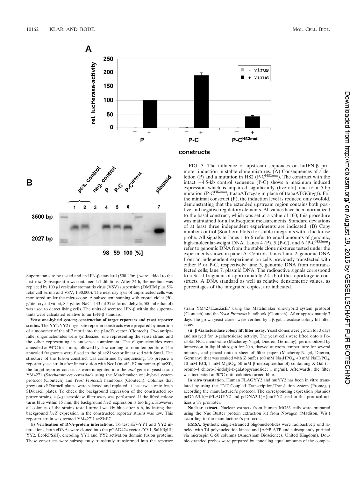



Supernatants to be tested and an IFN- $\beta$  standard (500 U/ml) were added to the first row. Subsequent rows contained 1:1 dilutions. After 24 h, the medium was replaced by 100  $\mu$ l vesicular stomatitis virus (VSV) suspension (DMEM plus 5% fetal calf serum and VSV, 1:30,000). The next day lysis of unprotected cells was monitored under the microscope. A subsequent staining with crystal violet (50 g/liter crystal violet, 8.5-g/liter NaCl, 143 ml 37% formaldehyde, 500 ml ethanol) was used to detect living cells. The units of secreted IFN- $\beta$  within the superna $tants$  were calculated relative to an IFN- $\beta$  standard.

**Yeast one-hybrid system; construction of target reporters and yeast reporter strains.** The YY1/YY2 target site reporter constructs were prepared by insertion of a monomer of the sE7 motif into the pLacZi vector (Clontech). Two antiparallel oligonucleotides were synthesized, one representing the sense strand and the other representing its antisense complement. The oligonucleotides were annealed at 94°C for 5 min, followed by slow cooling to room temperature. The annealed fragments were fused to the pLacZi vector linearized with SmaI. The structure of the fusion construct was confirmed by sequencing. To prepare a reporter yeast strain after linearization with NcoI (motif sE7 monomer-pLacZi), the target reporter constructs were integrated into the *ura3* gene of yeast strain YM4271 (*Saccharomyces cerevisiae*) using the Matchmaker one-hybrid system protocol (Clontech) and *Yeast Protocols* handbook (Clontech). Colonies that grew onto SD/uracil plates, were selected and replated at least twice onto fresh SD/uracil plates. To check the background expression of the constructed reporter strains, a  $\beta$ -galactosidase filter assay was performed. If the lifted colony turns blue within 15 min, the background *lacZ* expression is too high. However, all colonies of the strains tested turned weakly blue after 6 h, indicating that background *lacZ* expression in the constructed reporter strains was low. This reporter strain was termed YM4271LacZisE7.

**(i) Verification of DNA-protein interactions.** To test sE7-YY1 and YY2 interactions, both cDNAs were cloned into the pGAD424 vector (YY1, SalI/BglII; YY2, EcoRI/SalI), encoding YY1 and YY2 activation domain fusion proteins. These constructs were subsequently transiently transformed into the reporter

FIG. 3. The influence of upstream sequences on huIFN- $\beta$  promoter induction in stable clone mixtures. (A) Consequences of a deletion (P) and a mutation in HS2 (P-C<sup>HS2mut</sup>). The construct with the intact  $-4.5$ -kb control sequence (P-C) shows a maximum induced expression which is impaired significantly (fivefold) due to a 5-bp mutation (P-C<sup>HS2mut</sup>; ttaaaATctcgag in place of ttaaaATGGtggt). For the minimal construct (P), the induction level is reduced only twofold, demonstrating that the extended upstream region contains both positive and negative regulatory elements. All values have been normalized to the basal construct, which was set at a value of 100; this procedure was maintained for all subsequent measurements. Standard deviations of at least three independent experiments are indicated. (B) Copy number control (Southern blots) for stable integrants with a luciferase probe. All signals in lanes 1 to 6 refer to equal amounts of genomic, high-molecular-weight DNA. Lanes 4 (P), 5 (P-C), and 6 (P- $\overline{C}^{\rm HS2mut}$ ) refer to genomic DNA from the stable clone mixtures tested under the experiments shown in panel A. Controls: lanes 1 and 2, genomic DNA from an independent experiment on cells previously transfected with either P or P-C, respectively; lane 3, genomic DNA from nontransfected cells; lane 7, plasmid DNA. The radioactive signals correspond to a Sca I-fragment of approximately 2.4 kb of the reportergene constructs. A DNA standard as well as relative densiometric values, as percentages of the integrated copies, are indicated.

strain YM4271LacZisE7 using the Matchmaker one-hybrid system protocol (Clontech) and the *Yeast Protocols* handbook (Clontech). After approximately 3 days, the grown yeast clones were verified by a  $\beta$ -galactosidase colony lift filter assay.

 $(i)$   $\beta$ -Galactosidase colony lift filter assay. Yeast clones were grown for 3 days and assayed for  $\beta$ -galactosidase activity. The yeast cells were lifted onto a Porablot NCL membrane (Macherey-Nagel, Dueren, Germany), permeabilized by immersion in liquid nitrogen for 20 s, thawed at room temperature for several minutes, and placed onto a sheet of filter paper (Macherey-Nagel, Dueren, Germany) that was soaked with Z buffer (60 mM  $\text{Na}_2\text{HPO}_4$ , 40 mM  $\text{NaH}_2\text{PO}_4$ , 10 mM KCl, 1 mM MgSO<sub>4</sub>, 50 mM β-mercaptoethanol) containing X-Gal (5bromo-4 chloro-3-indolyl-D-galatopyranoside; 1 mg/ml). Afterwards, the filter was incubated at 30°C until colonies turned blue.

**In vitro translation.** Human FLAGYY2 and muYY2 has been in vitro translated by using the TNT Coupled Transcription/Translation system (Promega) according the manufacturer's protocol. The corresponding expression plasmids  $pCDNA3.1(-)FLAGYY2$  and  $pCDNA3.1(-)muYY2$  used in this protocol utilizes a T7 promoter.

**Nuclear extract.** Nuclear extracts from human MG63 cells were prepared using the Nuc Buster protein extraction kit from Novagen (Madison, Wis.) according to the manufacturer's protocols.

**EMSA.** Synthetic single-stranded oligonucleotides were radioactively end labeled with T4 polynucleotide kinase and  $[\gamma^{-32}P]ATP$  and subsequently purified via microspin G-50 columns (Amersham Biosciences, United Kingdom). Double-stranded probes were prepared by annealing equal amounts of the comple-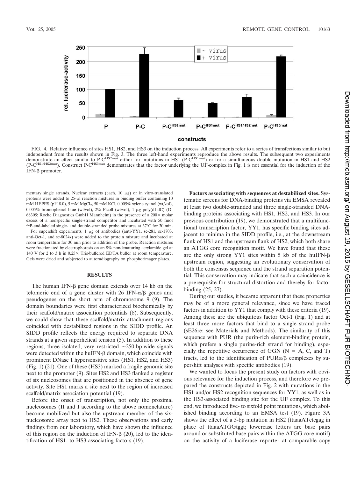

constructs

FIG. 4. Relative influence of sites HS1, HS2, and HS3 on the induction process. All experiments refer to a series of transfections similar to but independent from the results shown in Fig. 3. The three left-hand experiments reproduce the above results. The subsequent two experiments<br>demonstrate an effect similar to P-C<sup>HS2mut</sup> either for mutations in HS1 (P-C<sup>HS1mut</sup> (P-C<sup>HS1/HS2mut</sup>). Construct P-C<sup>HS3mut</sup> demonstrates that the factor underlying the UF-complex in Fig. 1 is not essential for the induction of the IFN-β promoter.

mentary single strands. Nuclear extracts (each,  $10 \mu g$ ) or in vitro-translated proteins were added to  $25$ - $\mu$ l reaction mixtures in binding buffer containing 10 mM HEPES (pH 8.0), 5 mM MgCl<sub>2</sub>, 50 mM KCl, 0.005% xylene cyanol (wt/vol), 0.005% bromophenol blue (wt/vol),  $2\%$  Ficoll (wt/vol), 1  $\mu$ g poly(dI-dC) (D-68305; Roche Diagnostics GmbH Mannheim) in the presence of a  $200 \times$  molar excess of a nonspecific single-strand competitor and incubated with 50 fmol <sup>32</sup>P-end-labeled single- and double-stranded probe mixtures at 37°C for 30 min.

For supershift experiments,  $1 \mu g$  of antibodies (anti-YY1, sc-281, sc-1703, anti-Oct-1, and sc-8024x) were added to the protein mixture and incubated at room temperature for 30 min prior to addition of the probe. Reaction mixtures were fractionated by electrophoresis on an 8% nondenaturing acrylamide gel at 140 V for 2 to 3 h in  $0.25 \times$  Tris-buffered EDTA buffer at room temperature. Gels were dried and subjected to autoradiography on phosphorimager plates.

## **RESULTS**

The human IFN- $\beta$  gene domain extends over 14 kb on the telomeric end of a gene cluster with  $26$  IFN- $\alpha/\beta$  genes and pseudogenes on the short arm of chromosome 9 (9). The domain boundaries were first characterized biochemically by their scaffold/matrix association potentials (8). Subsequently, we could show that these scaffold/matrix attachment regions coincided with destabilized regions in the SIDD profile. An SIDD profile reflects the energy required to separate DNA strands at a given superhelical tension (5). In addition to these regions, three isolated, very restricted  $\sim$ 250-bp-wide signals were detected within the huIFN- $\beta$  domain, which coincide with prominent DNase I hypersensitive sites (HS1, HS2, and HS3) (Fig. 1) (21). One of these (HS3) marked a fragile genomic site next to the promoter (9). Sites HS2 and HS3 flanked a register of six nucleosomes that are positioned in the absence of gene activity. Site HS1 marks a site next to the region of increased scaffold/matrix association potential (19).

Before the onset of transcription, not only the proximal nucleosomes (II and I according to the above nomenclature) become mobilized but also the upstream member of the sixnucleosome array next to HS2. These observations and early findings from our laboratory, which have shown the influence of this region on the induction of IFN- $\beta$  (20), led to the identification of HS1- to HS3-associating factors (19).

**Factors associating with sequences at destabilized sites.** Systematic screens for DNA-binding proteins via EMSA revealed at least two double-stranded and three single-stranded DNAbinding proteins associating with HS1, HS2, and HS3. In our previous contribution (19), we demonstrated that a multifunctional transcription factor, YY1, has specific binding sites adjacent to minima in the SIDD profile, i.e., at the downstream flank of HS1 and the upstream flank of HS2, which both share an ATGG core recognition motif. We have found that these are the only strong YY1 sites within 5 kb of the huIFN- $\beta$ upstream region, suggesting an evolutionary conservation of both the consensus sequence and the strand separation potential. This conservation may indicate that such a coincidence is a prerequisite for structural distortion and thereby for factor binding (25, 27).

During our studies, it became apparent that these properties may be of a more general relevance, since we have traced factors in addition to YY1 that comply with these criteria (19). Among these are the ubiquitous factor Oct-1 (Fig. 1) and at least three more factors that bind to a single strand probe (sE26re; see Materials and Methods). The similarity of this sequence with PUR (the purin-rich element-binding protein, which prefers a single purine-rich strand for binding), especially the repetitive occurrence of GGN ( $N = A$ , C, and T) tracts, led to the identification of  $PUR\alpha/\beta$  complexes by supershift analyses with specific antibodies (19).

We wanted to focus the present study on factors with obvious relevance for the induction process, and therefore we prepared the constructs depicted in Fig. 2 with mutations in the HS1 and/or HS2 recognition sequences for YY1, as well as in the HS3-associated binding site for the UF complex. To this end, we introduced five- to sixfold point mutations, which abolished binding according to an EMSA test (19). Figure 3A shows the effect of a 5-bp mutation in HS2 (ttaaaATctcgag in place of ttaaaATGGtggt; lowercase letters are base pairs around or substituted base pairs within the ATGG core motif) on the activity of a luciferase reporter at comparable copy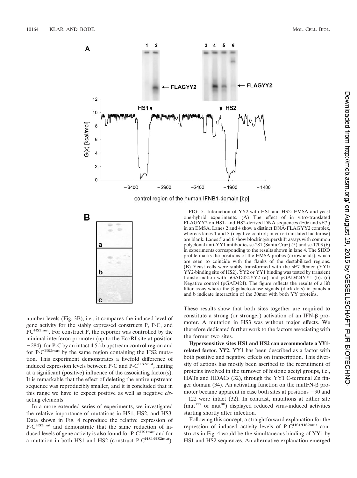



number levels (Fig. 3B), i.e., it compares the induced level of gene activity for the stably expressed constructs P, P-C, and PC<sup>HS2mut</sup>. For construct P, the reporter was controlled by the minimal interferon promoter (up to the EcoRI site at position 284), for P-C by an intact 4.5-kb upstream control region and for P-C<sup>HS2mut</sup> by the same region containing the HS2 mutation. This experiment demonstrates a fivefold difference of induced expression levels between P-C and P-C<sup>HS2mut</sup>, hinting at a significant (positive) influence of the associating factor(s). It is remarkable that the effect of deleting the entire upstream sequence was reproducibly smaller, and it is concluded that in this range we have to expect positive as well as negative *cis*acting elements.

In a more extended series of experiments, we investigated the relative importance of mutations in HS1, HS2, and HS3. Data shown in Fig. 4 reproduce the relative expression of P-C<sup>HS2mut</sup> and demonstrate that the same reduction of induced levels of gene activity is also found for P-C<sup>HS1mut</sup> and for a mutation in both HS1 and HS2 (construct P-C<sup>HS1/HS2mut</sup>).

FIG. 5. Interaction of YY2 with HS1 and HS2: EMSA and yeast one-hybrid experiments. (A) The effect of in vitro-translated FLAGYY2 on HS1- and HS2-derived DNA sequences (E0c and sE7,) in an EMSA. Lanes 2 and 4 show a distinct DNA-FLAGYY2 complex, whereas lanes 1 and 3 (negative control; in vitro-translated luciferase) are blank. Lanes 5 and 6 show blocking/supershift assays with common polyclonal anti-YY1 antibodies sc-281 (Santa Cruz) (5) and sc-1703 (6) in experiments corresponding to the results shown in lane 4. The SIDD profile marks the positions of the EMSA probes (arrowheads), which are seen to coincide with the flanks of the destabilized regions. (B) Yeast cells were stably transformed with the sE7 30mer (YY1/ YY2-binding site of HS2). YY2 or YY1 binding was tested by transient transformation with pGAD424YY2 (a) and pGAD424YY1 (b). (c) Negative control (pGAD424). The figure reflects the results of a lift filter assay where the  $\beta$ -galactosidase signals (dark dots) in panels a and b indicate interaction of the 30mer with both YY proteins.

These results show that both sites together are required to constitute a strong (or stronger) activation of an IFN- $\beta$  promoter. A mutation in HS3 was without major effects. We therefore dedicated further work to the factors associating with the former two sites.

**Hypersensitive sites HS1 and HS2 can accommodate a YY1 related factor, YY2.** YY1 has been described as a factor with both positive and negative effects on transcription. This diversity of actions has mostly been ascribed to the recruitment of proteins involved in the turnover of histone acetyl groups, i.e., HATs and HDACs (32), through the YY1 C-terminal Zn finger domain  $(34)$ . An activating function on the muIFN- $\beta$  promoter became apparent in case both sites at positions  $-90$  and  $-122$  were intact (32). In contrast, mutations at either site ( $mut^{122}$  or  $mut^{90}$ ) displayed reduced virus-induced activities starting shortly after infection.

Following this concept, a straightforward explanation for the repression of induced activity levels of P-CHS1/HS2mut constructs in Fig. 4 would be the simultaneous binding of YY1 by HS1 and HS2 sequences. An alternative explanation emerged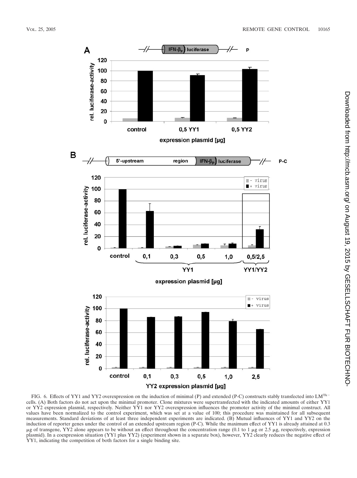

FIG. 6. Effects of YY1 and YY2 overexpression on the induction of minimal (P) and extended (P-C) constructs stably transfected into  $LM^{Tk-}$ cells. (A) Both factors do not act upon the minimal promoter. Clone mixtures were supertransfected with the indicated amounts of either YY1 or YY2 expression plasmid, respectively. Neither YY1 nor YY2 overexpression influences the promoter activity of the minimal construct. All values have been normalized to the control experiment, which was set at a value of 100; this procedure was maintained for all subsequent measurements. Standard deviations of at least three independent experiments are indicated. (B) Mutual influences of YY1 and YY2 on the induction of reporter genes under the control of an extended upstream region (P-C). While the maximum effect of YY1 is already attained at 0.3  $\mu$ g of transgene, YY2 alone appears to be without an effect throughout the concentration range (0.1 to 1  $\mu$ g or 2.5  $\mu$ g, respectively, expression plasmid). In a coexpression situation (YY1 plus YY2) (experiment shown in a separate box), however, YY2 clearly reduces the negative effect of YY1, indicating the competition of both factors for a single binding site.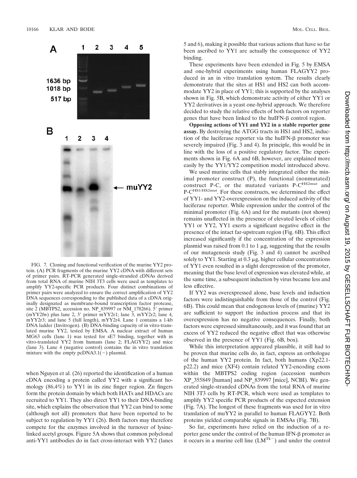

FIG. 7. Cloning and functional verification of the murine YY2 protein. (A) PCR fragments of the murine YY2 cDNA with different sets of primer pairs. RT-PCR generated single-stranded cDNAs derived from total RNA of murine NIH 3T3 cells were used as templates to amplify YY2-specific PCR products. Four distinct combinations of primer pairs were analyzed to ensure the correct amplification of YY2 DNA sequences corresponding to the published data of a cDNA originally designated as membrane-bound transcription factor protease, site 2 (MBTPS2, accession no. NP\_839997 or NM\_178266). 5' primer (mYY2fw) plus lane 2, 3' primer mYY2r1; lane  $\overline{3}$ , mYY2r2; lane 4, mYY2r3; and lane 5 (full length), mYY2r4. Lane 1 contains a 1-kb DNA ladder (Invitrogen). (B) DNA-binding capacity of in vitro-translated murine YY2, tested by EMSA. A nuclear extract of human MG63 cells (lane 1) was tested for sE7 binding, together with in vitro-translated YY2 from humans (lane 2; FLAGYY2) and mice (lane 3). Lane 4 (negative control) contains the in vitro translation mixture with the empty  $pcDNA3.1(-)$  plasmid.

when Nguyen et al. (26) reported the identification of a human cDNA encoding a protein called YY2 with a significant homology (86.4%) to YY1 in its zinc finger region. Zn fingers form the protein domain by which both HATs and HDACs are recruited to YY1. They also direct YY1 to their DNA-binding site, which explains the observation that YY2 can bind to some (although not all) promoters that have been reported to be subject to regulation by YY1 (26). Both factors may therefore compete for the enzymes involved in the turnover of lysinelinked acetyl groups. Figure 5A shows that common polyclonal anti-YY1 antibodies do in fact cross-interact with YY2 (lanes

5 and 6), making it possible that various actions that have so far been ascribed to YY1 are actually the consequence of YY2 binding.

These experiments have been extended in Fig. 5 by EMSA and one-hybrid experiments using human FLAGYY2 produced in an in vitro translation system. The results clearly demonstrate that the sites at HS1 and HS2 can both accommodate YY2 in place of YY1; this is supported by the analyses shown in Fig. 5B, which demonstrate activity of either YY1 or YY2 derivatives in a yeast one-hybrid approach. We therefore decided to study the relative effects of both factors on reporter genes that have been linked to the huIFN- $\beta$  control region.

**Opposing actions of YY1 and YY2 in a stable reporter gene assay.** By destroying the ATGG tracts in HS1 and HS2, induction of the luciferase reporter via the huIFN- $\beta$  promoter was severely impaired (Fig. 3 and 4). In principle, this would be in line with the loss of a positive regulatory factor. The experiments shown in Fig. 6A and 6B, however, are explained more easily by the YY1/YY2 competition model introduced above.

We used murine cells that stably integrated either the minimal promoter construct (P), the functional (nonmutated) construct P-C, or the mutated variants P-C<sup>HS2mut</sup> and P-C<sup>HS1/HS2mut</sup>. For these constructs, we determined the effect of YY1- and YY2-overexpression on the induced activity of the luciferase reporter. While expression under the control of the minimal promoter (Fig. 6A) and for the mutants (not shown) remains unaffected in the presence of elevated levels of either YY1 or YY2, YY1 exerts a significant negative effect in the presence of the intact far-upstream region (Fig. 6B). This effect increased significantly if the concentration of the expression plasmid was raised from 0.1 to 1  $\mu$ g, suggesting that the results of our mutagenesis study (Fig. 3 and 4) cannot be ascribed solely to YY1. Starting at  $0.3 \mu$ g, higher cellular concentrations of YY1 even resulted in a slight derepression of the promoter, meaning that the base level of expression was elevated while, at the same time, a subsequent induction by virus became less and less effective.

If YY2 was overexpressed alone, base levels and induction factors were indistinguishable from those of the control (Fig. 6B). This could mean that endogenous levels of (murine) YY2 are sufficient to support the induction process and that its overexpression has no negative consequences. Finally, both factors were expressed simultaneously, and it was found that an excess of YY2 reduced the negative effect that was otherwise observed in the presence of YY1 (Fig. 6B, box).

While this interpretation appeared plausible, it still had to be proven that murine cells do, in fact, express an orthologue of the human YY2 protein. In fact, both humans (Xp22.1 p22.2) and mice (XF4) contain related YY2-encoding exons within the MBTPS2 coding region (accession numbers XP\_355849 [human] and NP\_839997 [mice], NCBI). We generated single-stranded cDNAs from the total RNA of murine NIH 3T3 cells by RT-PCR, which were used as templates to amplify YY2 specific PCR products of the expected extension (Fig. 7A). The longest of these fragments was used for in vitro translation of muYY2 in parallel to human FLAGYY2. Both proteins yielded comparable signals in EMSAs (Fig. 7B).

So far, experiments have relied on the induction of a reporter gene under the control of the human  $IFN-\beta$  promoter as it occurs in a murine cell line  $(LM<sup>Tk-</sup>)$  and under the control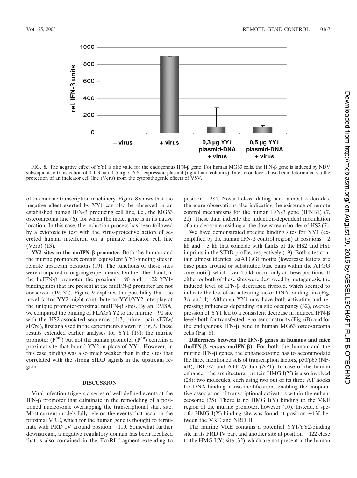

FIG. 8. The negative effect of YY1 is also valid for the endogenous IFN-β gene. For human MG63 cells, the IFN-β gene is induced by NDV subsequent to transfection of 0, 0.3, and 0.5 µg of YY1 expression plasmid (right-hand columns). Interferon levels have been determined via the protection of an indicator cell line (Vero) from the cytopathogenic effects of VSV.

of the murine transcription machinery. Figure 8 shows that the negative effect exerted by YY1 can also be observed in an established human IFN- $\beta$  producing cell line, i.e., the MG63 osteosarcoma line (6), for which the intact gene is in its native location. In this case, the induction process has been followed by a cytotoxicity test with the virus-protective action of secreted human interferon on a primate indicator cell line (Vero) (13).

**YY2 sites in the muIFN-** $\beta$  **promoter.** Both the human and the murine promoters contain equivalent YY1-binding sites in remote upstream positions (19). The functions of these sites were compared in ongoing experiments. On the other hand, in the huIFN- $\beta$  promoter the proximal  $-90$  and  $-122$  YY1binding sites that are present at the muIFN- $\beta$  promoter are not conserved (19, 32). Figure 9 explores the possibility that the novel factor YY2 might contribute to YY1/YY2 interplay at the unique promoter-proximal muIFN- $\beta$  sites. By an EMSA, we compared the binding of FLAGYY2 to the murine  $-90$  site with the HS2-associated sequence (ds7; primer pair sE7fw/ sE7re), first analyzed in the experiments shown in Fig. 5. These results extended earlier analyses for YY1 (19): the murine promoter (Pmu) but not the human promoter (Phu) contains a proximal site that bound YY2 in place of YY1. However, in this case binding was also much weaker than in the sites that correlated with the strong SIDD signals in the upstream region.

## **DISCUSSION**

Viral infection triggers a series of well-defined events at the  $IFN-\beta$  promoter that culminate in the remodeling of a positioned nucleosome overlapping the transcriptional start site. Most current models fully rely on the events that occur in the proximal VRE, which for the human gene is thought to terminate with PRD IV around position  $-110$ . Somewhat further downstream, a negative regulatory domain has been localized that is also contained in the EcoRI fragment extending to position  $-284$ . Nevertheless, dating back almost 2 decades, there are observations also indicating the existence of remote control mechanisms for the human IFN- $\beta$  gene (IFNB1) (7, 20). These data indicate the induction-dependent modulation of a nucleosome residing at the downstream border of HS2 (7).

We have demonstrated specific binding sites for YY1 (exemplified by the human IFN- $\beta$  control region) at positions  $-2$ kb and  $-3$  kb that coincide with flanks of the HS2 and HS1 imprints in the SIDD profile, respectively (19). Both sites contain almost identical aaATGGt motifs (lowercase letters are base pairs around or substituted base pairs within the ATGG core motif), which over 4.5 kb occur only at these positions. If either or both of these sites were destroyed by mutagenesis, the induced level of IFN- $\beta$  decreased fivefold, which seemed to indicate the loss of an activating factor DNA-binding site (Fig. 3A and 4). Although YY1 may have both activating and repressing influences depending on site occupancy (32), overexpression of  $YY1$  led to a consistent decrease in induced IFN- $\beta$ levels both for transfected reporter constructs (Fig. 6B) and for the endogenous IFN- $\beta$  gene in human MG63 osteosarcoma cells (Fig. 8).

**Differences between the IFN-β genes in humans and mice**  $(huIFN-\beta$  versus muIFN- $\beta$ ). For both the human and the murine IFN- $\beta$  genes, the enhance osome has to accommodate the three mentioned sets of transcription factors, p50/p65 (NF-  $\kappa$ B), IRF3/7, and ATF-2/c-Jun (AP1). In case of the human enhancer, the architectural protein HMG I(Y) is also involved (28): two molecules, each using two out of its three AT hooks for DNA binding, cause modifications enabling the cooperative association of transcriptional activators within the enhanceosome  $(35)$ . There is no HMG I(Y) binding to the VRE region of the murine promoter, however (10). Instead, a specific HMG I(Y)-binding site was found at position  $-130$  between the VRE and NRD II.

The murine VRE contains a potential YY1/YY2-binding site in its PRD IV part and another site at position  $-122$  close to the HMG I(Y) site (32), which are not present in the human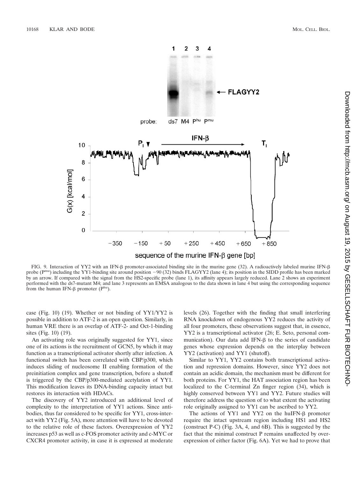

FIG. 9. Interaction of YY2 with an IFN- $\beta$  promoter-associated binding site in the murine gene (32). A radioactively labeled murine IFN- $\beta$ probe (P<sup>mu</sup>) including the YY1-binding site around position -90 (32) binds FLAGYY2 (lane 4); its position in the SIDD profile has been marked by an arrow. If compared with the signal from the HS2-specific probe (lane 1), its affinity appears largely reduced. Lane 2 shows an experiment performed with the ds7-mutant M4; and lane 3 represents an EMSA analogous to the data shown in lane 4 but using the corresponding sequence from the human IFN- $\beta$  promoter ( $P^{hu}$ ).

case (Fig. 10) (19). Whether or not binding of YY1/YY2 is possible in addition to ATF-2 is an open question. Similarly, in human VRE there is an overlap of ATF-2- and Oct-1-binding sites (Fig. 10) (19).

An activating role was originally suggested for YY1, since one of its actions is the recruitment of GCN5, by which it may function as a transcriptional activator shortly after infection. A functional switch has been correlated with CBP/p300, which induces sliding of nucleosome II enabling formation of the preinitiation complex and gene transcription, before a shutoff is triggered by the CBP/p300-mediated acetylation of YY1. This modification leaves its DNA-binding capacity intact but restores its interaction with HDACs.

The discovery of YY2 introduced an additional level of complexity to the interpretation of YY1 actions. Since antibodies, thus far considered to be specific for YY1, cross-interact with YY2 (Fig. 5A), more attention will have to be devoted to the relative role of these factors. Overexpression of YY2 increases p53 as well as c-FOS promoter activity and c-MYC or CXCR4 promoter activity, in case it is expressed at moderate levels (26). Together with the finding that small interfering RNA knockdown of endogenous YY2 reduces the activity of all four promoters, these observations suggest that, in essence, YY2 is a transcriptional activator (26; E. Seto, personal communication). Our data add IFN- $\beta$  to the series of candidate genes whose expression depends on the interplay between YY2 (activation) and YY1 (shutoff).

Similar to YY1, YY2 contains both transcriptional activation and repression domains. However, since YY2 does not contain an acidic domain, the mechanism must be different for both proteins. For YY1, the HAT association region has been localized to the C-terminal Zn finger region (34), which is highly conserved between YY1 and YY2. Future studies will therefore address the question of to what extent the activating role originally assigned to YY1 can be ascribed to YY2.

The actions of YY1 and YY2 on the huIFN- $\beta$  promoter require the intact upstream region including HS1 and HS2 (construct P-C) (Fig. 3A, 4, and 6B). This is suggested by the fact that the minimal construct P remains unaffected by overexpression of either factor (Fig. 6A). Yet we had to prove that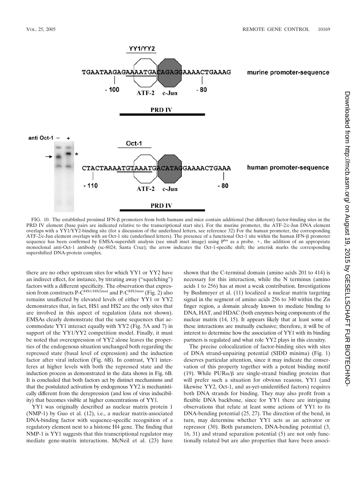

FIG. 10. The established proximal IFN-β promoters from both humans and mice contain additional (but different) factor-binding sites in the PRD IV element (base pairs are indicated relative to the transcriptional start site). For the murine promoter, the ATF-2/c-Jun DNA element overlaps with a YY1/YY2-binding site (for a discussion of the underlined letters, see reference 32) For the human promoter, the corresponding ATF-2/c-Jun element overlaps with an Oct-1 site (underlined letters). The presence of a functional Oct-1 site within the human IFN- $\beta$  promoter sequence has been confirmed by EMSA-supershift analysis (see small inset image) using Phu as a probe. +, the addition of an appropriate monoclonal anti-Oct-1 antibody (sc-8024; Santa Cruz); the arrow indicates the Oct-1-specific shift; the asterisk marks the corresponding supershifted DNA-protein complex.

there are no other upstream sites for which YY1 or YY2 have an indirect effect, for instance, by titrating away ("squelching") factors with a different specificity. The observation that expression from constructs P- $\overline{C}^{\text{HS1/HS2mut}}$  and P- $\overline{C}^{\text{HS2mut}}$  (Fig. 2) also remains unaffected by elevated levels of either YY1 or YY2 demonstrates that, in fact, HS1 and HS2 are the only sites that are involved in this aspect of regulation (data not shown). EMSAs clearly demonstrate that the same sequences that accommodate YY1 interact equally with YY2 (Fig. 5A and 7) in support of the YY1/YY2 competition model. Finally, it must be noted that overexpression of YY2 alone leaves the properties of the endogenous situation unchanged both regarding the repressed state (basal level of expression) and the induction factor after viral infection (Fig. 6B). In contrast, YY1 interferes at higher levels with both the repressed state and the induction process as demonstrated in the data shown in Fig. 6B. It is concluded that both factors act by distinct mechanisms and that the postulated activation by endogenous YY2 is mechanistically different from the derepression (and loss of virus inducibility) that becomes visible at higher concentrations of YY1.

YY1 was originally described as nuclear matrix protein 1 (NMP-1) by Guo et al. (12), i.e., a nuclear matrix-associated DNA-binding factor with sequence-specific recognition of a regulatory element next to a histone H4 gene. The finding that NMP-1 is YY1 suggests that this transcriptional regulator may mediate gene-matrix interactions. McNeil et al. (23) have shown that the C-terminal domain (amino acids 201 to 414) is necessary for this interaction, while the N terminus (amino acids 1 to 256) has at most a weak contribution. Investigations by Bushmeyer et al. (11) localized a nuclear matrix targeting signal in the segment of amino acids 256 to 340 within the Zn finger region, a domain already known to mediate binding to DNA, HAT, and HDAC (both enzymes being components of the nuclear matrix (14, 15). It appears likely that at least some of these interactions are mutually exclusive; therefore, it will be of interest to determine how the association of YY1 with its binding partners is regulated and what role YY2 plays in this circuitry.

The precise colocalization of factor-binding sites with sites of DNA strand-unpairing potential (SIDD minima) (Fig. 1) deserves particular attention, since it may indicate the conservation of this property together with a potent binding motif (19). While  $PUR\alpha/\beta$  are single-strand binding proteins that will prefer such a situation for obvious reasons, YY1 (and likewise YY2, Oct-1, and as-yet-unidentified factors) requires both DNA strands for binding. They may also profit from a flexible DNA backbone, since for YY1 there are intriguing observations that relate at least some actions of YY1 to its DNA-bending potential (25, 27). The direction of the bend, in turn, may determine whether YY1 acts as an activator or repressor (30). Both parameters, DNA-bending potential (3, 16, 31) and strand separation potential (5) are not only functionally related but are also properties that have been associ